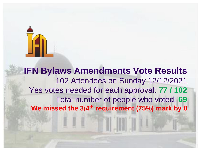

#### **IFN Bylaws Amendments Vote Results** 102 Attendees on Sunday 12/12/2021 Yes votes needed for each approval: **77 / 102** Total number of people who voted: **69 We missed the 3/4th requirement (75%) mark by 8**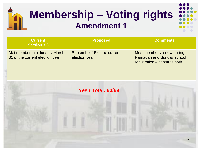# **Membership – Voting rights Amendment 1**



| <b>Current</b><br><b>Section 3.3</b>                            | <b>Proposed</b>                              | <b>Comments</b>                                                                                |
|-----------------------------------------------------------------|----------------------------------------------|------------------------------------------------------------------------------------------------|
| Met membership dues by March<br>31 of the current election year | September 15 of the current<br>election year | Most members renew during<br><b>Ramadan and Sunday school</b><br>registration – captures both. |

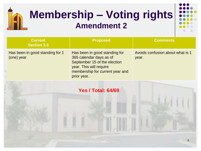

| <b>Current</b><br><b>Section 3.3</b>          | <b>Proposed</b>                                                                                                                                                       | <b>Comments</b>                           |
|-----------------------------------------------|-----------------------------------------------------------------------------------------------------------------------------------------------------------------------|-------------------------------------------|
| Has been in good standing for 1<br>(one) year | Has been in good standing for<br>365 calendar days as of<br>September 15 of the election<br>year. This will require<br>membership for current year and<br>prior year. | Avoids confusion about what is 1<br>year. |

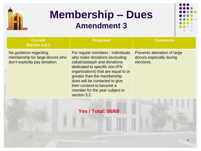

### **Membership – Dues Amendment 3**



| <b>Current</b><br><b>Section 3.8.1</b>                                                     | <b>Proposed</b>                                                                                                                                                                                                                                                                                                           | <b>Comments</b>                                                        |
|--------------------------------------------------------------------------------------------|---------------------------------------------------------------------------------------------------------------------------------------------------------------------------------------------------------------------------------------------------------------------------------------------------------------------------|------------------------------------------------------------------------|
| No guidance regarding<br>membership for large donors who<br>don't explicitly pay donation. | For regular members - Individuals<br>who make donations (excluding<br>zakat/sadaqah and donations<br>dedicated to specific non-IFN<br>organizations) that are equal to or<br>greater than the membership<br>dues will be contacted to give<br>their consent to become a<br>member for the year subject to<br>section 3.2. | Prevents alienation of large<br>donors especially during<br>elections. |
|                                                                                            | <b>Yes / Total: 56/69</b>                                                                                                                                                                                                                                                                                                 |                                                                        |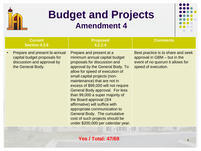

#### **Budget and Projects Amendment 4**



| <b>Current</b><br><b>Section 4.3.6</b>                                                                           | <b>Proposed</b><br>4.2.1.4                                                                                                                                                                                                                                                                                                                                                                                                                                                                                                                                         | <b>Comments</b>                                                                                                               |
|------------------------------------------------------------------------------------------------------------------|--------------------------------------------------------------------------------------------------------------------------------------------------------------------------------------------------------------------------------------------------------------------------------------------------------------------------------------------------------------------------------------------------------------------------------------------------------------------------------------------------------------------------------------------------------------------|-------------------------------------------------------------------------------------------------------------------------------|
| Prepare and present bi-annual<br>capital budget proposals for<br>discussion and approval by<br>the General Body. | Prepare and present at a<br>minimum annual capital budget<br>proposals for discussion and<br>approval by the General Body. To<br>allow for speed of execution of<br>small capital projects (non-<br>maintenance) that are not in<br>excess of \$99,000 will not require<br><b>General Body approval. For less</b><br>than 99,000 a super majority of<br>the Board approval (3/4)<br>affirmative) will suffice with<br>appropriate communication to<br><b>General Body. The cumulative</b><br>cost of such projects should be<br>under \$200,000 per calendar year. | Best practice is to share and seek<br>approval in GBM – but in the<br>event of no quorum it allows for<br>speed of execution. |

**Yes / Total: 47/69** 5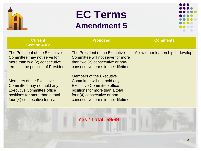

#### **EC Terms Amendment 5**



| <b>Current</b><br><b>Section 4.4.2</b>                                                                                                                               | <b>Proposed</b>                                                                                                                                                                                                | <b>Comments</b>                   |
|----------------------------------------------------------------------------------------------------------------------------------------------------------------------|----------------------------------------------------------------------------------------------------------------------------------------------------------------------------------------------------------------|-----------------------------------|
| The President of the Executive<br>Committee may not serve for<br>more than two (2) consecutive<br>terms in the position of President.                                | The President of the Executive<br>Committee will not serve for more<br>than two (2) consecutive or non-<br>consecutive terms in their lifetime.                                                                | Allow other leadership to develop |
| <b>Members of the Executive</b><br>Committee may not hold any<br><b>Executive Committee office</b><br>positions for more than a total<br>four (4) consecutive terms. | <b>Members of the Executive</b><br>Committee will not hold any<br><b>Executive Committee office</b><br>positions for more than a total<br>four (4) consecutive or non-<br>consecutive terms in their lifetime. |                                   |

#### **Yes / Total: 59/69**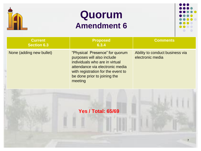

#### **Quorum Amendment 6**



| <b>Current</b><br><b>Section 6.3</b> | <b>Proposed</b><br>6.3.4                                                                                                                                                                                           | <b>Comments</b>                                     |
|--------------------------------------|--------------------------------------------------------------------------------------------------------------------------------------------------------------------------------------------------------------------|-----------------------------------------------------|
| None (adding new bullet)             | "Physical Presence" for quorum<br>purposes will also include<br>individuals who are in virtual<br>attendance via electronic media<br>with registration for the event to<br>be done prior to joining the<br>meeting | Ability to conduct business via<br>electronic media |
|                                      | <b>Yes / Total: 65/69</b>                                                                                                                                                                                          |                                                     |
|                                      |                                                                                                                                                                                                                    |                                                     |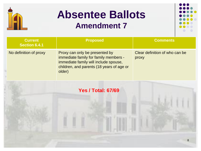

# **Absentee Ballots**

#### **Amendment 7**



| <b>Current</b><br>Section 6.4.1 | <b>Proposed</b>                                                                                                                                                         | <b>Comments</b>                         |
|---------------------------------|-------------------------------------------------------------------------------------------------------------------------------------------------------------------------|-----------------------------------------|
| No definition of proxy          | Proxy can only be presented by<br>immediate family for family members -<br>immediate family will include spouse,<br>children, and parents (18 years of age or<br>older) | Clear definition of who can be<br>proxy |

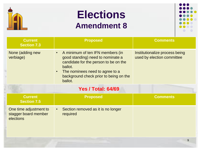

#### **Elections Amendment 8**



| <b>Current</b><br><b>Section 7.3</b>                        | <b>Proposed</b>                                                                                                                                                                                                                | <b>Comments</b>                                              |
|-------------------------------------------------------------|--------------------------------------------------------------------------------------------------------------------------------------------------------------------------------------------------------------------------------|--------------------------------------------------------------|
| None (adding new<br>verbiage)                               | A minimum of ten IFN members (in<br>good standing) need to nominate a<br>candidate for the person to be on the<br>ballot.<br>The nominees need to agree to a<br>$\bullet$<br>background check prior to being on the<br>ballot. | Institutionalize process being<br>used by election committee |
|                                                             | <b>Yes / Total: 64/69</b>                                                                                                                                                                                                      |                                                              |
| <b>Current</b><br><b>Section 7.5</b>                        | <b>Proposed</b>                                                                                                                                                                                                                | <b>Comments</b>                                              |
| One time adjustment to<br>stagger board member<br>elections | Section removed as it is no longer<br>required                                                                                                                                                                                 |                                                              |
|                                                             |                                                                                                                                                                                                                                | 9                                                            |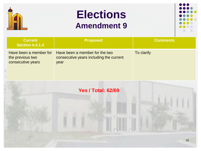

## **Elections Amendment 9**



| <b>Current</b><br><b>Section 4.4.1.4</b>                        | <b>Proposed</b>                                                                   | <b>Comments</b> |
|-----------------------------------------------------------------|-----------------------------------------------------------------------------------|-----------------|
| Have been a member for<br>the previous two<br>consecutive years | Have been a member for the two<br>consecutive years including the current<br>year | To clarify      |

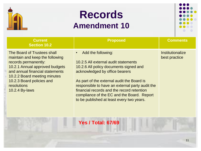

#### **Records Amendment 10**



| <b>Current</b><br><b>Section 10.2</b>                                                                                                                                                                                                                     | <b>Proposed</b>                                                                                                                                                                                                                                                                                                                                                                               | <b>Comments</b>                   |
|-----------------------------------------------------------------------------------------------------------------------------------------------------------------------------------------------------------------------------------------------------------|-----------------------------------------------------------------------------------------------------------------------------------------------------------------------------------------------------------------------------------------------------------------------------------------------------------------------------------------------------------------------------------------------|-----------------------------------|
| The Board of Trustees shall<br>maintain and keep the following<br>records permanently:<br>10.2.1 Annual approved budgets<br>and annual financial statements<br>10.2.2 Board meeting minutes<br>10.2.3 Board policies and<br>resolutions<br>10.2.4 By-laws | Add the following:<br>$\bullet$<br>10.2.5 All external audit statements<br>10.2.6 All policy documents signed and<br>acknowledged by office bearers<br>As part of the external audit the Board is<br>responsible to have an external party audit the<br>financial records and the record retention<br>compliance of the EC and the Board. Report<br>to be published at least every two years. | Institutionalize<br>best practice |

#### **Yes / Total: 67/69**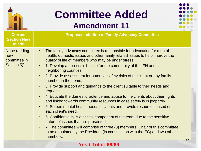

**Current Section New to add**

## **Committee Added Amendment 11**



**Proposed addition of Family Advocacy Committee**

- None (adding new committee in Section 5))
- The family advocacy committee is responsible for advocating for mental health, domestic issues and other family related issues to help improve the quality of life of members who may be under stress.
- 1. Develop a non-crisis hotline for the community of the IFN and its neighboring counties.
- 2. Provide assessment for potential safety risks of the client or any family member in the home.
- 3. Provide support and guidance to the client suitable to their needs and requests.
- 4. Educate the domestic violence and abuse to the clients about their rights and linked towards community resources in case safety is in jeopardy.
- 5. Screen mental health needs of clients and provide resources based on each client's need.
- 6. Confidentiality is a critical component of the team due to the sensitive nature of issues that are presented.
- 7. The committee will comprise of three (3) members: Chair of this committee, to be appointed by the President (in consultation with the EC) and two other members.

#### **Yes / Total: 66/69**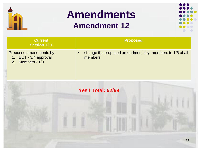

## **Amendments Amendment 12**



| <b>Current</b><br><b>Section 12.1</b>                                                           | <b>Proposed</b>                                                    |
|-------------------------------------------------------------------------------------------------|--------------------------------------------------------------------|
| Proposed amendments by:<br>BOT - 3/4 approval<br>$1_{\cdot}$<br>Members - 1/3<br>2 <sub>1</sub> | change the proposed amendments by members to 1/6 of all<br>members |